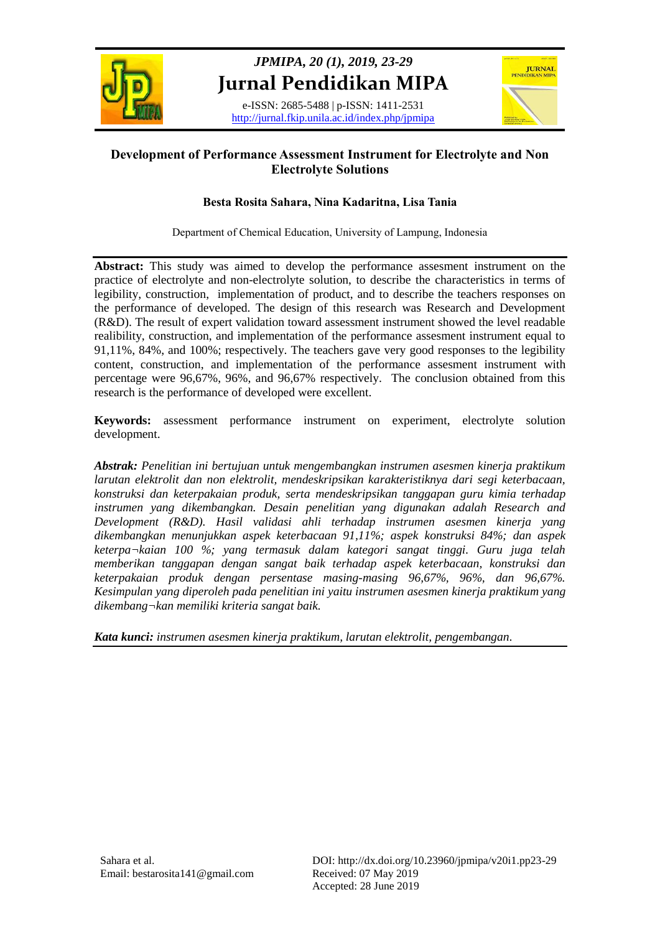

# *JPMIPA, 20 (1), 2019, 23-29* **Jurnal Pendidikan MIPA**

e-ISSN: 2685-5488 | p-ISSN: 1411-2531 http://jurnal.fkip.unila.ac.id/index.php/jpmipa



# **Development of Performance Assessment Instrument for Electrolyte and Non Electrolyte Solutions**

# **Besta Rosita Sahara, Nina Kadaritna, Lisa Tania**

Department of Chemical Education, University of Lampung, Indonesia

**Abstract:** This study was aimed to develop the performance assesment instrument on the practice of electrolyte and non-electrolyte solution, to describe the characteristics in terms of legibility, construction, implementation of product, and to describe the teachers responses on the performance of developed. The design of this research was Research and Development (R&D). The result of expert validation toward assessment instrument showed the level readable realibility, construction, and implementation of the performance assesment instrument equal to 91,11%, 84%, and 100%; respectively. The teachers gave very good responses to the legibility content, construction, and implementation of the performance assesment instrument with percentage were 96,67%, 96%, and 96,67% respectively. The conclusion obtained from this research is the performance of developed were excellent.

**Keywords:** assessment performance instrument on experiment, electrolyte solution development.

*Abstrak: Penelitian ini bertujuan untuk mengembangkan instrumen asesmen kinerja praktikum larutan elektrolit dan non elektrolit, mendeskripsikan karakteristiknya dari segi keterbacaan, konstruksi dan keterpakaian produk, serta mendeskripsikan tanggapan guru kimia terhadap instrumen yang dikembangkan. Desain penelitian yang digunakan adalah Research and Development (R&D). Hasil validasi ahli terhadap instrumen asesmen kinerja yang dikembangkan menunjukkan aspek keterbacaan 91,11%; aspek konstruksi 84%; dan aspek keterpa¬kaian 100 %; yang termasuk dalam kategori sangat tinggi. Guru juga telah memberikan tanggapan dengan sangat baik terhadap aspek keterbacaan, konstruksi dan keterpakaian produk dengan persentase masing-masing 96,67%, 96%, dan 96,67%. Kesimpulan yang diperoleh pada penelitian ini yaitu instrumen asesmen kinerja praktikum yang dikembang¬kan memiliki kriteria sangat baik.*

*Kata kunci: instrumen asesmen kinerja praktikum, larutan elektrolit, pengembangan.*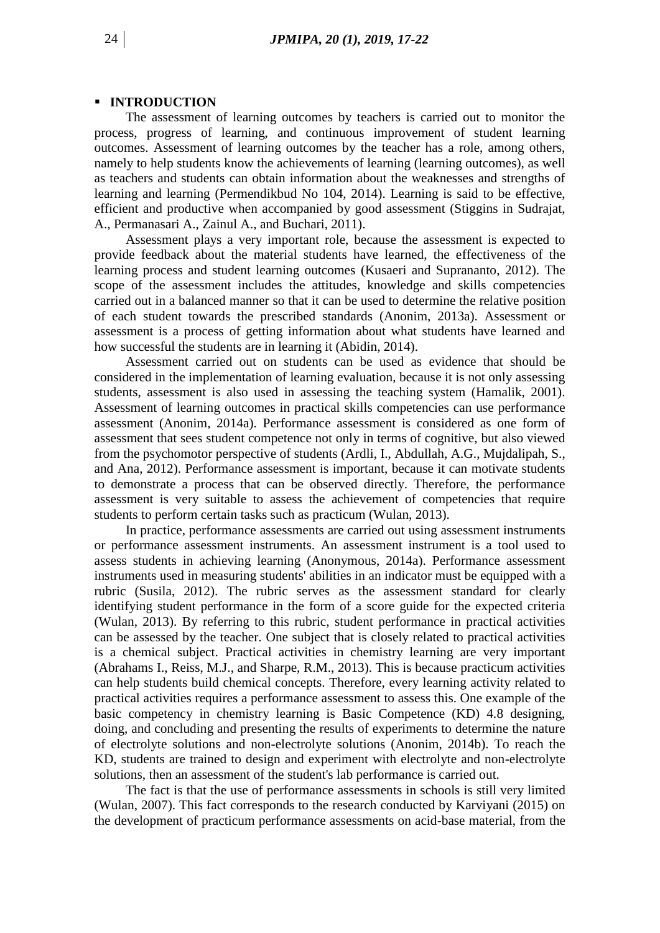#### **INTRODUCTION**

The assessment of learning outcomes by teachers is carried out to monitor the process, progress of learning, and continuous improvement of student learning outcomes. Assessment of learning outcomes by the teacher has a role, among others, namely to help students know the achievements of learning (learning outcomes), as well as teachers and students can obtain information about the weaknesses and strengths of learning and learning (Permendikbud No 104, 2014). Learning is said to be effective, efficient and productive when accompanied by good assessment (Stiggins in Sudrajat, A., Permanasari A., Zainul A., and Buchari, 2011).

Assessment plays a very important role, because the assessment is expected to provide feedback about the material students have learned, the effectiveness of the learning process and student learning outcomes (Kusaeri and Suprananto, 2012). The scope of the assessment includes the attitudes, knowledge and skills competencies carried out in a balanced manner so that it can be used to determine the relative position of each student towards the prescribed standards (Anonim, 2013a). Assessment or assessment is a process of getting information about what students have learned and how successful the students are in learning it (Abidin, 2014).

Assessment carried out on students can be used as evidence that should be considered in the implementation of learning evaluation, because it is not only assessing students, assessment is also used in assessing the teaching system (Hamalik, 2001). Assessment of learning outcomes in practical skills competencies can use performance assessment (Anonim, 2014a). Performance assessment is considered as one form of assessment that sees student competence not only in terms of cognitive, but also viewed from the psychomotor perspective of students (Ardli, I., Abdullah, A.G., Mujdalipah, S., and Ana, 2012). Performance assessment is important, because it can motivate students to demonstrate a process that can be observed directly. Therefore, the performance assessment is very suitable to assess the achievement of competencies that require students to perform certain tasks such as practicum (Wulan, 2013).

In practice, performance assessments are carried out using assessment instruments or performance assessment instruments. An assessment instrument is a tool used to assess students in achieving learning (Anonymous, 2014a). Performance assessment instruments used in measuring students' abilities in an indicator must be equipped with a rubric (Susila, 2012). The rubric serves as the assessment standard for clearly identifying student performance in the form of a score guide for the expected criteria (Wulan, 2013). By referring to this rubric, student performance in practical activities can be assessed by the teacher. One subject that is closely related to practical activities is a chemical subject. Practical activities in chemistry learning are very important (Abrahams I., Reiss, M.J., and Sharpe, R.M., 2013). This is because practicum activities can help students build chemical concepts. Therefore, every learning activity related to practical activities requires a performance assessment to assess this. One example of the basic competency in chemistry learning is Basic Competence (KD) 4.8 designing, doing, and concluding and presenting the results of experiments to determine the nature of electrolyte solutions and non-electrolyte solutions (Anonim, 2014b). To reach the KD, students are trained to design and experiment with electrolyte and non-electrolyte solutions, then an assessment of the student's lab performance is carried out.

The fact is that the use of performance assessments in schools is still very limited (Wulan, 2007). This fact corresponds to the research conducted by Karviyani (2015) on the development of practicum performance assessments on acid-base material, from the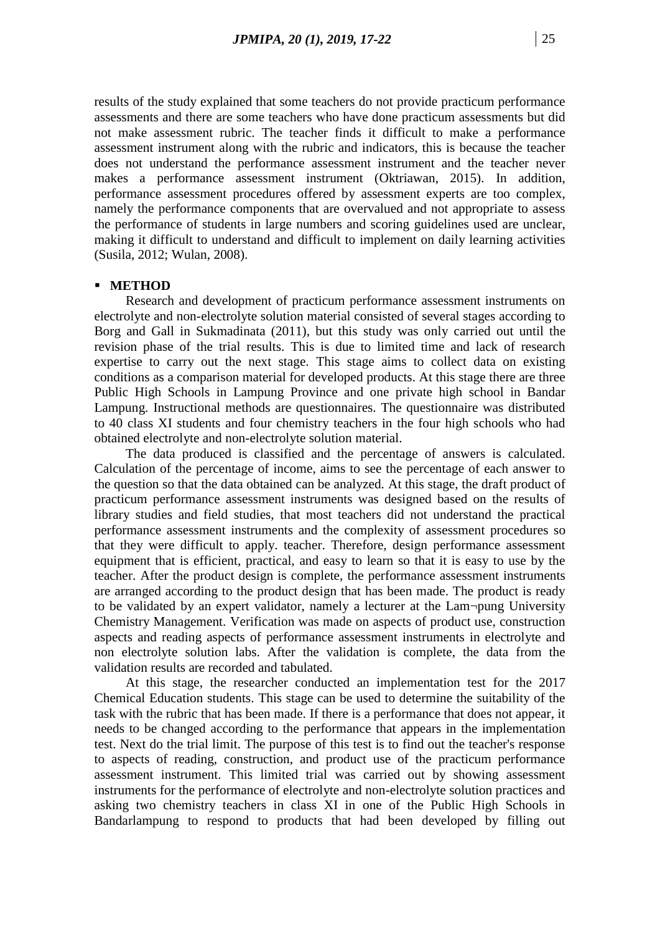results of the study explained that some teachers do not provide practicum performance assessments and there are some teachers who have done practicum assessments but did not make assessment rubric. The teacher finds it difficult to make a performance assessment instrument along with the rubric and indicators, this is because the teacher does not understand the performance assessment instrument and the teacher never makes a performance assessment instrument (Oktriawan, 2015). In addition, performance assessment procedures offered by assessment experts are too complex, namely the performance components that are overvalued and not appropriate to assess the performance of students in large numbers and scoring guidelines used are unclear, making it difficult to understand and difficult to implement on daily learning activities (Susila, 2012; Wulan, 2008).

## **METHOD**

Research and development of practicum performance assessment instruments on electrolyte and non-electrolyte solution material consisted of several stages according to Borg and Gall in Sukmadinata (2011), but this study was only carried out until the revision phase of the trial results. This is due to limited time and lack of research expertise to carry out the next stage. This stage aims to collect data on existing conditions as a comparison material for developed products. At this stage there are three Public High Schools in Lampung Province and one private high school in Bandar Lampung. Instructional methods are questionnaires. The questionnaire was distributed to 40 class XI students and four chemistry teachers in the four high schools who had obtained electrolyte and non-electrolyte solution material.

The data produced is classified and the percentage of answers is calculated. Calculation of the percentage of income, aims to see the percentage of each answer to the question so that the data obtained can be analyzed. At this stage, the draft product of practicum performance assessment instruments was designed based on the results of library studies and field studies, that most teachers did not understand the practical performance assessment instruments and the complexity of assessment procedures so that they were difficult to apply. teacher. Therefore, design performance assessment equipment that is efficient, practical, and easy to learn so that it is easy to use by the teacher. After the product design is complete, the performance assessment instruments are arranged according to the product design that has been made. The product is ready to be validated by an expert validator, namely a lecturer at the Lam¬pung University Chemistry Management. Verification was made on aspects of product use, construction aspects and reading aspects of performance assessment instruments in electrolyte and non electrolyte solution labs. After the validation is complete, the data from the validation results are recorded and tabulated.

At this stage, the researcher conducted an implementation test for the 2017 Chemical Education students. This stage can be used to determine the suitability of the task with the rubric that has been made. If there is a performance that does not appear, it needs to be changed according to the performance that appears in the implementation test. Next do the trial limit. The purpose of this test is to find out the teacher's response to aspects of reading, construction, and product use of the practicum performance assessment instrument. This limited trial was carried out by showing assessment instruments for the performance of electrolyte and non-electrolyte solution practices and asking two chemistry teachers in class XI in one of the Public High Schools in Bandarlampung to respond to products that had been developed by filling out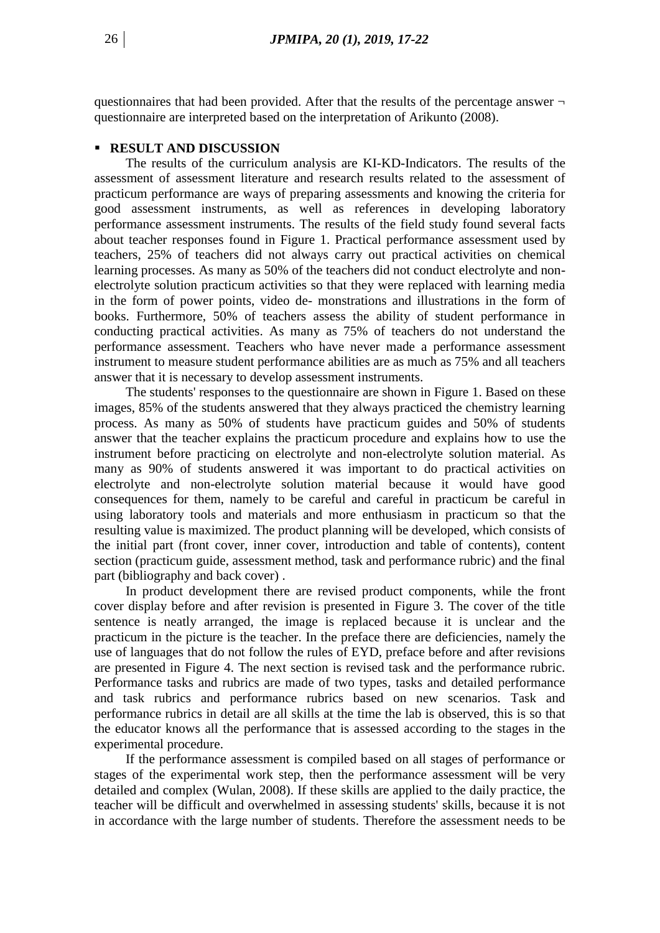questionnaires that had been provided. After that the results of the percentage answer  $\neg$ questionnaire are interpreted based on the interpretation of Arikunto (2008).

#### **RESULT AND DISCUSSION**

The results of the curriculum analysis are KI-KD-Indicators. The results of the assessment of assessment literature and research results related to the assessment of practicum performance are ways of preparing assessments and knowing the criteria for good assessment instruments, as well as references in developing laboratory performance assessment instruments. The results of the field study found several facts about teacher responses found in Figure 1. Practical performance assessment used by teachers, 25% of teachers did not always carry out practical activities on chemical learning processes. As many as 50% of the teachers did not conduct electrolyte and nonelectrolyte solution practicum activities so that they were replaced with learning media in the form of power points, video de- monstrations and illustrations in the form of books. Furthermore, 50% of teachers assess the ability of student performance in conducting practical activities. As many as 75% of teachers do not understand the performance assessment. Teachers who have never made a performance assessment instrument to measure student performance abilities are as much as 75% and all teachers answer that it is necessary to develop assessment instruments.

The students' responses to the questionnaire are shown in Figure 1. Based on these images, 85% of the students answered that they always practiced the chemistry learning process. As many as 50% of students have practicum guides and 50% of students answer that the teacher explains the practicum procedure and explains how to use the instrument before practicing on electrolyte and non-electrolyte solution material. As many as 90% of students answered it was important to do practical activities on electrolyte and non-electrolyte solution material because it would have good consequences for them, namely to be careful and careful in practicum be careful in using laboratory tools and materials and more enthusiasm in practicum so that the resulting value is maximized. The product planning will be developed, which consists of the initial part (front cover, inner cover, introduction and table of contents), content section (practicum guide, assessment method, task and performance rubric) and the final part (bibliography and back cover) .

In product development there are revised product components, while the front cover display before and after revision is presented in Figure 3. The cover of the title sentence is neatly arranged, the image is replaced because it is unclear and the practicum in the picture is the teacher. In the preface there are deficiencies, namely the use of languages that do not follow the rules of EYD, preface before and after revisions are presented in Figure 4. The next section is revised task and the performance rubric. Performance tasks and rubrics are made of two types, tasks and detailed performance and task rubrics and performance rubrics based on new scenarios. Task and performance rubrics in detail are all skills at the time the lab is observed, this is so that the educator knows all the performance that is assessed according to the stages in the experimental procedure.

If the performance assessment is compiled based on all stages of performance or stages of the experimental work step, then the performance assessment will be very detailed and complex (Wulan, 2008). If these skills are applied to the daily practice, the teacher will be difficult and overwhelmed in assessing students' skills, because it is not in accordance with the large number of students. Therefore the assessment needs to be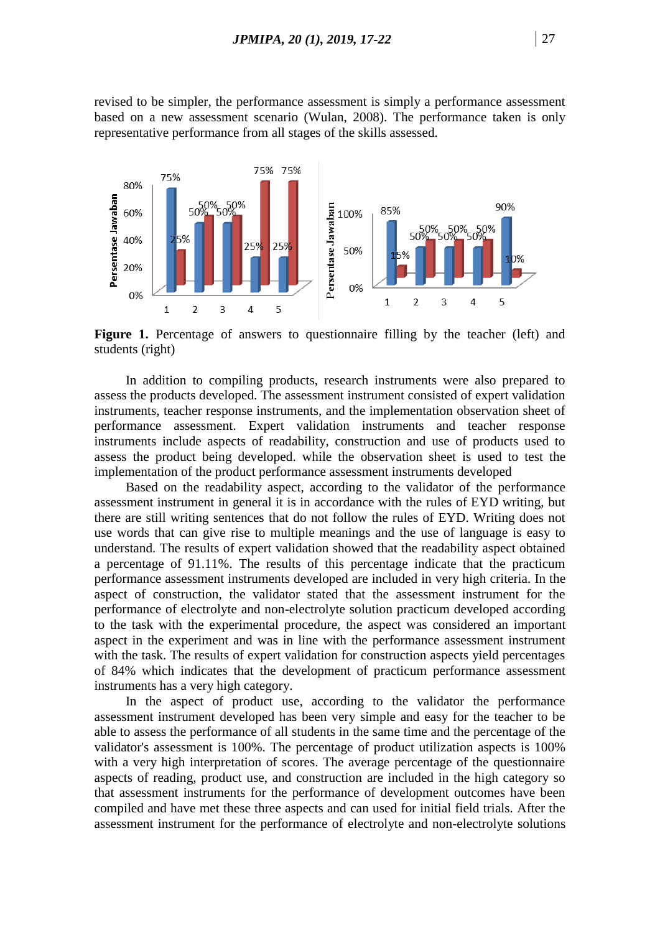revised to be simpler, the performance assessment is simply a performance assessment based on a new assessment scenario (Wulan, 2008). The performance taken is only representative performance from all stages of the skills assessed.



Figure 1. Percentage of answers to questionnaire filling by the teacher (left) and students (right)

In addition to compiling products, research instruments were also prepared to assess the products developed. The assessment instrument consisted of expert validation instruments, teacher response instruments, and the implementation observation sheet of performance assessment. Expert validation instruments and teacher response instruments include aspects of readability, construction and use of products used to assess the product being developed. while the observation sheet is used to test the implementation of the product performance assessment instruments developed

Based on the readability aspect, according to the validator of the performance assessment instrument in general it is in accordance with the rules of EYD writing, but there are still writing sentences that do not follow the rules of EYD. Writing does not use words that can give rise to multiple meanings and the use of language is easy to understand. The results of expert validation showed that the readability aspect obtained a percentage of 91.11%. The results of this percentage indicate that the practicum performance assessment instruments developed are included in very high criteria. In the aspect of construction, the validator stated that the assessment instrument for the performance of electrolyte and non-electrolyte solution practicum developed according to the task with the experimental procedure, the aspect was considered an important aspect in the experiment and was in line with the performance assessment instrument with the task. The results of expert validation for construction aspects yield percentages of 84% which indicates that the development of practicum performance assessment instruments has a very high category.

In the aspect of product use, according to the validator the performance assessment instrument developed has been very simple and easy for the teacher to be able to assess the performance of all students in the same time and the percentage of the validator's assessment is 100%. The percentage of product utilization aspects is 100% with a very high interpretation of scores. The average percentage of the questionnaire aspects of reading, product use, and construction are included in the high category so that assessment instruments for the performance of development outcomes have been compiled and have met these three aspects and can used for initial field trials. After the assessment instrument for the performance of electrolyte and non-electrolyte solutions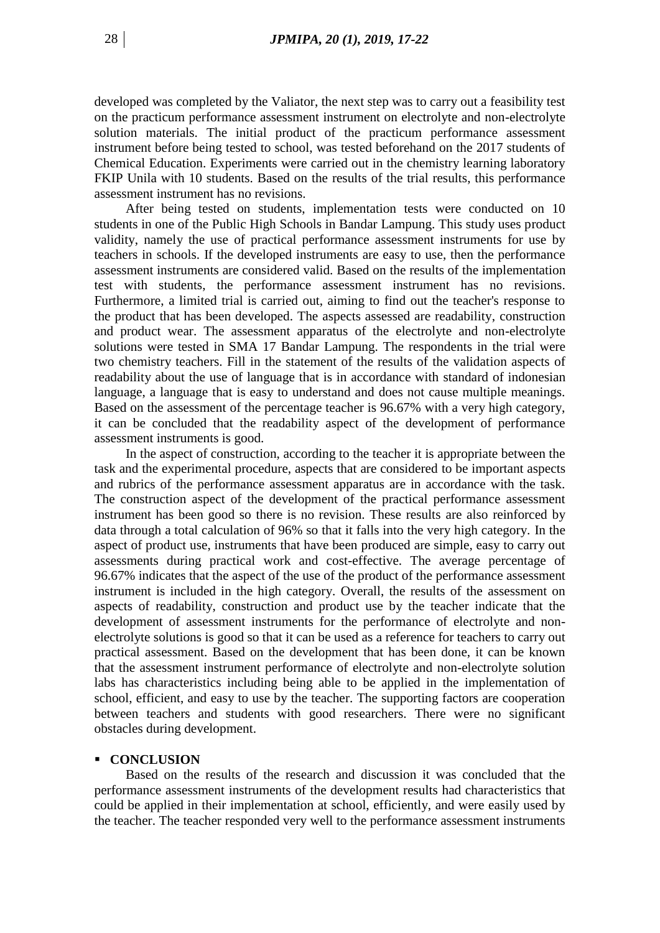developed was completed by the Valiator, the next step was to carry out a feasibility test on the practicum performance assessment instrument on electrolyte and non-electrolyte solution materials. The initial product of the practicum performance assessment instrument before being tested to school, was tested beforehand on the 2017 students of Chemical Education. Experiments were carried out in the chemistry learning laboratory FKIP Unila with 10 students. Based on the results of the trial results, this performance assessment instrument has no revisions.

After being tested on students, implementation tests were conducted on 10 students in one of the Public High Schools in Bandar Lampung. This study uses product validity, namely the use of practical performance assessment instruments for use by teachers in schools. If the developed instruments are easy to use, then the performance assessment instruments are considered valid. Based on the results of the implementation test with students, the performance assessment instrument has no revisions. Furthermore, a limited trial is carried out, aiming to find out the teacher's response to the product that has been developed. The aspects assessed are readability, construction and product wear. The assessment apparatus of the electrolyte and non-electrolyte solutions were tested in SMA 17 Bandar Lampung. The respondents in the trial were two chemistry teachers. Fill in the statement of the results of the validation aspects of readability about the use of language that is in accordance with standard of indonesian language, a language that is easy to understand and does not cause multiple meanings. Based on the assessment of the percentage teacher is 96.67% with a very high category, it can be concluded that the readability aspect of the development of performance assessment instruments is good.

In the aspect of construction, according to the teacher it is appropriate between the task and the experimental procedure, aspects that are considered to be important aspects and rubrics of the performance assessment apparatus are in accordance with the task. The construction aspect of the development of the practical performance assessment instrument has been good so there is no revision. These results are also reinforced by data through a total calculation of 96% so that it falls into the very high category. In the aspect of product use, instruments that have been produced are simple, easy to carry out assessments during practical work and cost-effective. The average percentage of 96.67% indicates that the aspect of the use of the product of the performance assessment instrument is included in the high category. Overall, the results of the assessment on aspects of readability, construction and product use by the teacher indicate that the development of assessment instruments for the performance of electrolyte and nonelectrolyte solutions is good so that it can be used as a reference for teachers to carry out practical assessment. Based on the development that has been done, it can be known that the assessment instrument performance of electrolyte and non-electrolyte solution labs has characteristics including being able to be applied in the implementation of school, efficient, and easy to use by the teacher. The supporting factors are cooperation between teachers and students with good researchers. There were no significant obstacles during development.

## **CONCLUSION**

Based on the results of the research and discussion it was concluded that the performance assessment instruments of the development results had characteristics that could be applied in their implementation at school, efficiently, and were easily used by the teacher. The teacher responded very well to the performance assessment instruments